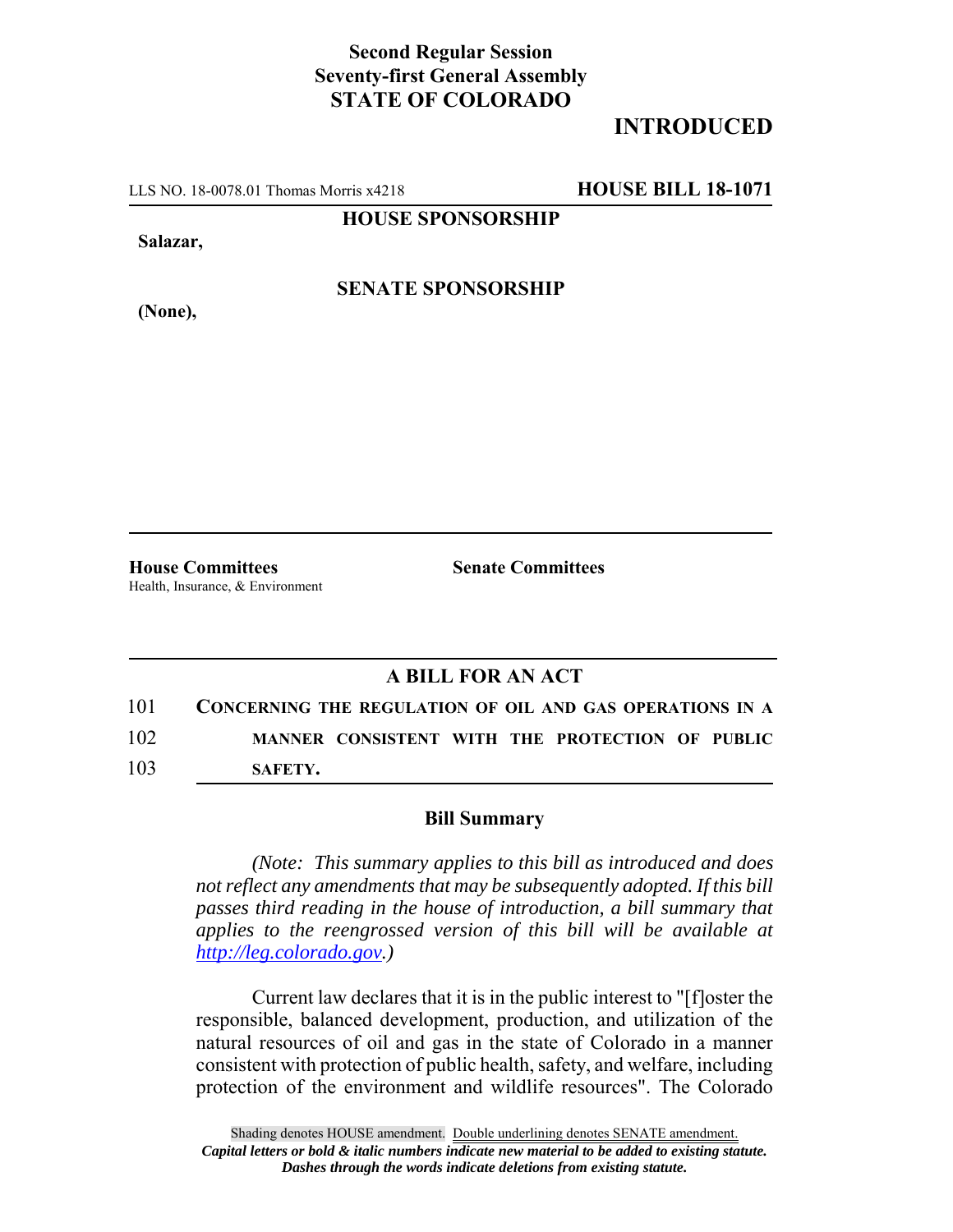## **Second Regular Session Seventy-first General Assembly STATE OF COLORADO**

## **INTRODUCED**

LLS NO. 18-0078.01 Thomas Morris x4218 **HOUSE BILL 18-1071**

**HOUSE SPONSORSHIP**

**Salazar,**

**(None),**

**SENATE SPONSORSHIP**

Health, Insurance, & Environment

**House Committees Senate Committees** 

## **A BILL FOR AN ACT**

101 **CONCERNING THE REGULATION OF OIL AND GAS OPERATIONS IN A** 102 **MANNER CONSISTENT WITH THE PROTECTION OF PUBLIC** 103 **SAFETY.**

## **Bill Summary**

*(Note: This summary applies to this bill as introduced and does not reflect any amendments that may be subsequently adopted. If this bill passes third reading in the house of introduction, a bill summary that applies to the reengrossed version of this bill will be available at http://leg.colorado.gov.)*

Current law declares that it is in the public interest to "[f]oster the responsible, balanced development, production, and utilization of the natural resources of oil and gas in the state of Colorado in a manner consistent with protection of public health, safety, and welfare, including protection of the environment and wildlife resources". The Colorado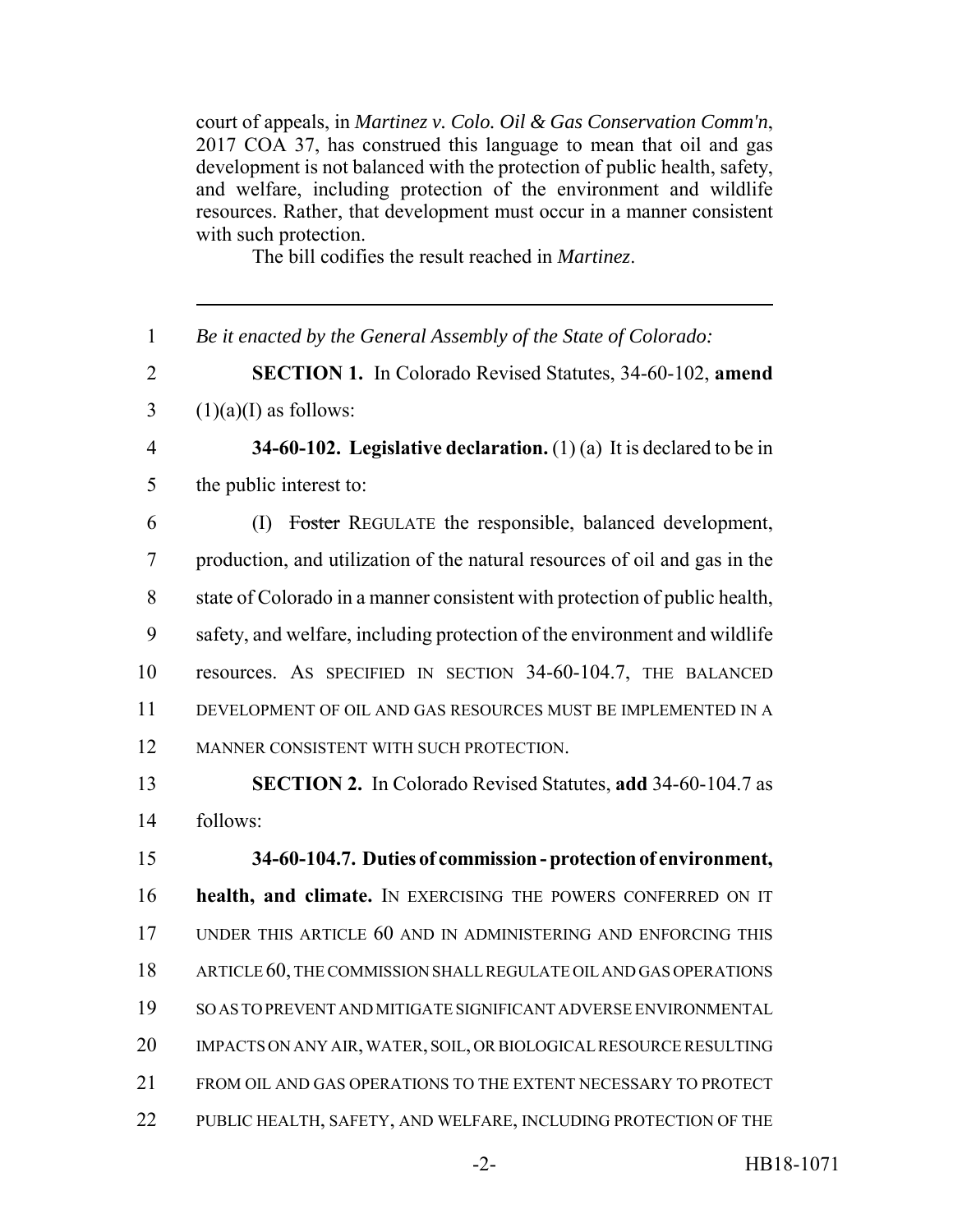court of appeals, in *Martinez v. Colo. Oil & Gas Conservation Comm'n*, 2017 COA 37, has construed this language to mean that oil and gas development is not balanced with the protection of public health, safety, and welfare, including protection of the environment and wildlife resources. Rather, that development must occur in a manner consistent with such protection.

The bill codifies the result reached in *Martinez*.

*Be it enacted by the General Assembly of the State of Colorado:*

 **SECTION 1.** In Colorado Revised Statutes, 34-60-102, **amend**  $3 \quad (1)(a)(I)$  as follows:

- **34-60-102. Legislative declaration.** (1) (a) It is declared to be in the public interest to:
- (I) Foster REGULATE the responsible, balanced development, production, and utilization of the natural resources of oil and gas in the state of Colorado in a manner consistent with protection of public health, safety, and welfare, including protection of the environment and wildlife resources. AS SPECIFIED IN SECTION 34-60-104.7, THE BALANCED DEVELOPMENT OF OIL AND GAS RESOURCES MUST BE IMPLEMENTED IN A MANNER CONSISTENT WITH SUCH PROTECTION.
- **SECTION 2.** In Colorado Revised Statutes, **add** 34-60-104.7 as follows:

 **34-60-104.7. Duties of commission - protection of environment, health, and climate.** IN EXERCISING THE POWERS CONFERRED ON IT UNDER THIS ARTICLE 60 AND IN ADMINISTERING AND ENFORCING THIS ARTICLE 60, THE COMMISSION SHALL REGULATE OIL AND GAS OPERATIONS SO AS TO PREVENT AND MITIGATE SIGNIFICANT ADVERSE ENVIRONMENTAL IMPACTS ON ANY AIR, WATER, SOIL, OR BIOLOGICAL RESOURCE RESULTING FROM OIL AND GAS OPERATIONS TO THE EXTENT NECESSARY TO PROTECT PUBLIC HEALTH, SAFETY, AND WELFARE, INCLUDING PROTECTION OF THE